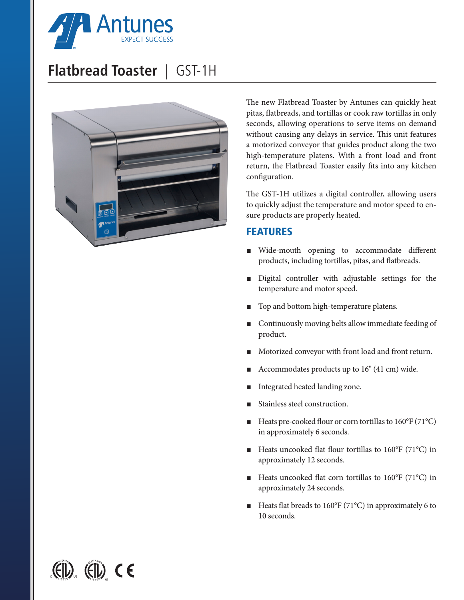

## **Flatbread Toaster** | GST-1H



The new Flatbread Toaster by Antunes can quickly heat pitas, flatbreads, and tortillas or cook raw tortillas in only seconds, allowing operations to serve items on demand without causing any delays in service. This unit features a motorized conveyor that guides product along the two high-temperature platens. With a front load and front return, the Flatbread Toaster easily fits into any kitchen configuration.

The GST-1H utilizes a digital controller, allowing users to quickly adjust the temperature and motor speed to ensure products are properly heated.

### FEATURES

- Wide-mouth opening to accommodate different products, including tortillas, pitas, and flatbreads.
- Digital controller with adjustable settings for the temperature and motor speed.
- Top and bottom high-temperature platens.
- Continuously moving belts allow immediate feeding of product.
- Motorized conveyor with front load and front return.
- Accommodates products up to 16" (41 cm) wide.
- Integrated heated landing zone.
- Stainless steel construction.
- Heats pre-cooked flour or corn tortillas to 160°F (71°C) in approximately 6 seconds.
- Heats uncooked flat flour tortillas to 160°F (71°C) in approximately 12 seconds.
- Heats uncooked flat corn tortillas to 160°F (71°C) in approximately 24 seconds.
- Heats flat breads to  $160^{\circ}F(71^{\circ}C)$  in approximately 6 to 10 seconds.